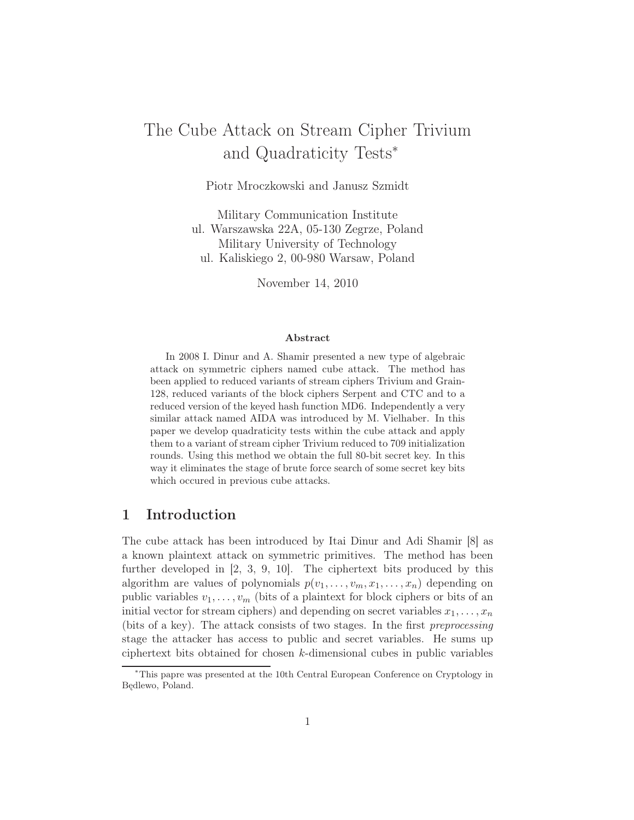# The Cube Attack on Stream Cipher Trivium and Quadraticity Tests<sup>∗</sup>

Piotr Mroczkowski and Janusz Szmidt

Military Communication Institute ul. Warszawska 22A, 05-130 Zegrze, Poland Military University of Technology ul. Kaliskiego 2, 00-980 Warsaw, Poland

November 14, 2010

#### Abstract

In 2008 I. Dinur and A. Shamir presented a new type of algebraic attack on symmetric ciphers named cube attack. The method has been applied to reduced variants of stream ciphers Trivium and Grain-128, reduced variants of the block ciphers Serpent and CTC and to a reduced version of the keyed hash function MD6. Independently a very similar attack named AIDA was introduced by M. Vielhaber. In this paper we develop quadraticity tests within the cube attack and apply them to a variant of stream cipher Trivium reduced to 709 initialization rounds. Using this method we obtain the full 80-bit secret key. In this way it eliminates the stage of brute force search of some secret key bits which occured in previous cube attacks.

# 1 Introduction

The cube attack has been introduced by Itai Dinur and Adi Shamir [8] as a known plaintext attack on symmetric primitives. The method has been further developed in [2, 3, 9, 10]. The ciphertext bits produced by this algorithm are values of polynomials  $p(v_1, \ldots, v_m, x_1, \ldots, x_n)$  depending on public variables  $v_1, \ldots, v_m$  (bits of a plaintext for block ciphers or bits of an initial vector for stream ciphers) and depending on secret variables  $x_1, \ldots, x_n$ (bits of a key). The attack consists of two stages. In the first preprocessing stage the attacker has access to public and secret variables. He sums up ciphertext bits obtained for chosen k-dimensional cubes in public variables

<sup>∗</sup>This papre was presented at the 10th Central European Conference on Cryptology in Będlewo, Poland.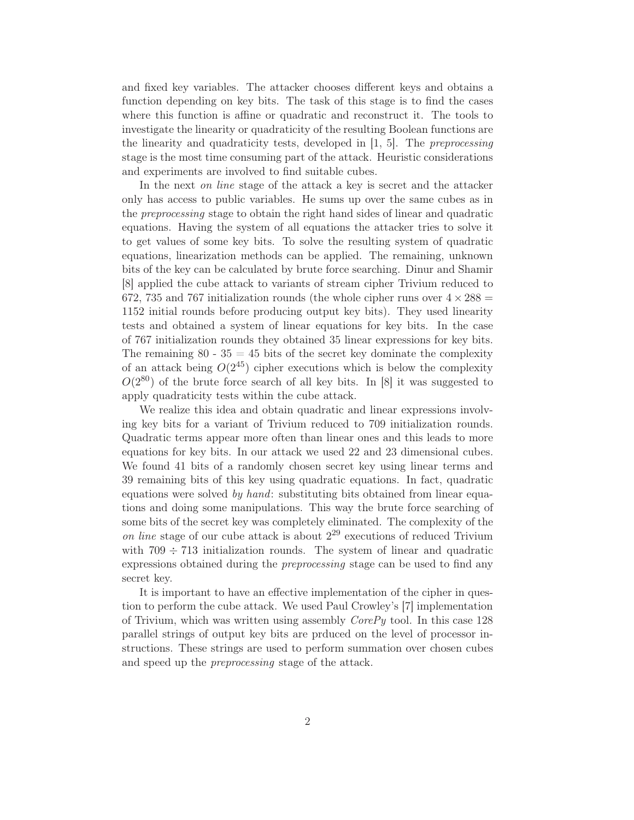and fixed key variables. The attacker chooses different keys and obtains a function depending on key bits. The task of this stage is to find the cases where this function is affine or quadratic and reconstruct it. The tools to investigate the linearity or quadraticity of the resulting Boolean functions are the linearity and quadraticity tests, developed in [1, 5]. The *preprocessing* stage is the most time consuming part of the attack. Heuristic considerations and experiments are involved to find suitable cubes.

In the next *on line* stage of the attack a key is secret and the attacker only has access to public variables. He sums up over the same cubes as in the preprocessing stage to obtain the right hand sides of linear and quadratic equations. Having the system of all equations the attacker tries to solve it to get values of some key bits. To solve the resulting system of quadratic equations, linearization methods can be applied. The remaining, unknown bits of the key can be calculated by brute force searching. Dinur and Shamir [8] applied the cube attack to variants of stream cipher Trivium reduced to 672, 735 and 767 initialization rounds (the whole cipher runs over  $4 \times 288 =$ 1152 initial rounds before producing output key bits). They used linearity tests and obtained a system of linear equations for key bits. In the case of 767 initialization rounds they obtained 35 linear expressions for key bits. The remaining  $80 - 35 = 45$  bits of the secret key dominate the complexity of an attack being  $O(2^{45})$  cipher executions which is below the complexity  $O(2^{80})$  of the brute force search of all key bits. In [8] it was suggested to apply quadraticity tests within the cube attack.

We realize this idea and obtain quadratic and linear expressions involving key bits for a variant of Trivium reduced to 709 initialization rounds. Quadratic terms appear more often than linear ones and this leads to more equations for key bits. In our attack we used 22 and 23 dimensional cubes. We found 41 bits of a randomly chosen secret key using linear terms and 39 remaining bits of this key using quadratic equations. In fact, quadratic equations were solved by hand: substituting bits obtained from linear equations and doing some manipulations. This way the brute force searching of some bits of the secret key was completely eliminated. The complexity of the on line stage of our cube attack is about  $2^{29}$  executions of reduced Trivium with  $709 \div 713$  initialization rounds. The system of linear and quadratic expressions obtained during the *preprocessing* stage can be used to find any secret key.

It is important to have an effective implementation of the cipher in question to perform the cube attack. We used Paul Crowley's [7] implementation of Trivium, which was written using assembly CorePy tool. In this case 128 parallel strings of output key bits are prduced on the level of processor instructions. These strings are used to perform summation over chosen cubes and speed up the *preprocessing* stage of the attack.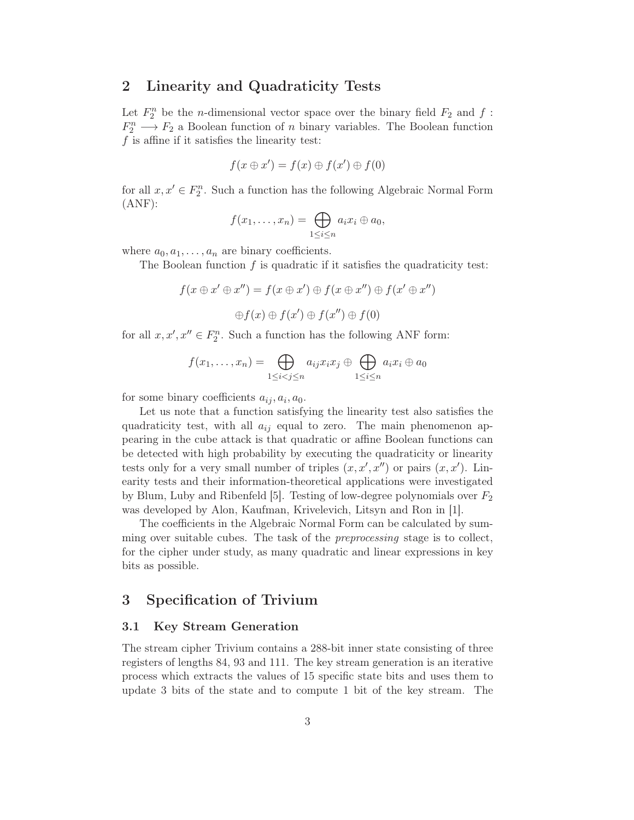### 2 Linearity and Quadraticity Tests

Let  $F_2^n$  be the *n*-dimensional vector space over the binary field  $F_2$  and  $f$ :  $F_2^n \longrightarrow F_2$  a Boolean function of *n* binary variables. The Boolean function f is affine if it satisfies the linearity test:

$$
f(x \oplus x') = f(x) \oplus f(x') \oplus f(0)
$$

for all  $x, x' \in F_2^n$ . Such a function has the following Algebraic Normal Form (ANF):

$$
f(x_1,\ldots,x_n)=\bigoplus_{1\leq i\leq n}a_ix_i\oplus a_0,
$$

where  $a_0, a_1, \ldots, a_n$  are binary coefficients.

The Boolean function  $f$  is quadratic if it satisfies the quadraticity test:

$$
f(x \oplus x' \oplus x'') = f(x \oplus x') \oplus f(x \oplus x'') \oplus f(x' \oplus x'')
$$
  

$$
\oplus f(x) \oplus f(x') \oplus f(x'') \oplus f(0)
$$

for all  $x, x', x'' \in F_2^n$ . Such a function has the following ANF form:

$$
f(x_1,...,x_n) = \bigoplus_{1 \leq i < j \leq n} a_{ij} x_i x_j \oplus \bigoplus_{1 \leq i \leq n} a_i x_i \oplus a_0
$$

for some binary coefficients  $a_{ij}, a_i, a_0$ .

Let us note that a function satisfying the linearity test also satisfies the quadraticity test, with all  $a_{ij}$  equal to zero. The main phenomenon appearing in the cube attack is that quadratic or affine Boolean functions can be detected with high probability by executing the quadraticity or linearity tests only for a very small number of triples  $(x, x', x'')$  or pairs  $(x, x')$ . Linearity tests and their information-theoretical applications were investigated by Blum, Luby and Ribenfeld [5]. Testing of low-degree polynomials over  $F_2$ was developed by Alon, Kaufman, Krivelevich, Litsyn and Ron in [1].

The coefficients in the Algebraic Normal Form can be calculated by summing over suitable cubes. The task of the *preprocessing* stage is to collect, for the cipher under study, as many quadratic and linear expressions in key bits as possible.

# 3 Specification of Trivium

#### 3.1 Key Stream Generation

The stream cipher Trivium contains a 288-bit inner state consisting of three registers of lengths 84, 93 and 111. The key stream generation is an iterative process which extracts the values of 15 specific state bits and uses them to update 3 bits of the state and to compute 1 bit of the key stream. The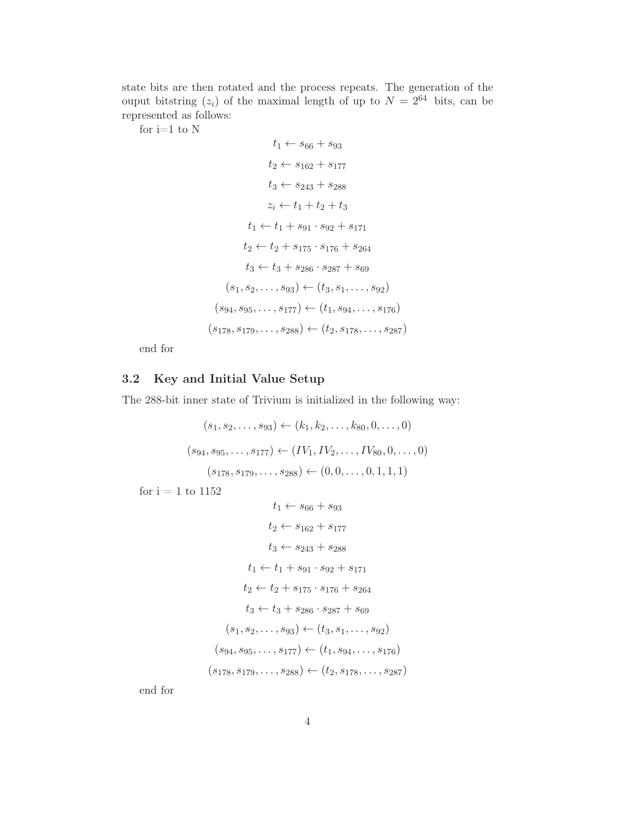state bits are then rotated and the process repeats. The generation of the ouput bitstring  $(z_i)$  of the maximal length of up to  $N = 2^{64}$  bits, can be represented as follows:

for i=1 to  $\rm N$ 

$$
t_1 \leftarrow s_{66} + s_{93}
$$
  
\n
$$
t_2 \leftarrow s_{162} + s_{177}
$$
  
\n
$$
t_3 \leftarrow s_{243} + s_{288}
$$
  
\n
$$
z_i \leftarrow t_1 + t_2 + t_3
$$
  
\n
$$
t_1 \leftarrow t_1 + s_{91} \cdot s_{92} + s_{171}
$$
  
\n
$$
t_2 \leftarrow t_2 + s_{175} \cdot s_{176} + s_{264}
$$
  
\n
$$
t_3 \leftarrow t_3 + s_{286} \cdot s_{287} + s_{69}
$$
  
\n
$$
(s_1, s_2, \ldots, s_{93}) \leftarrow (t_3, s_1, \ldots, s_{92})
$$
  
\n
$$
(s_{94}, s_{95}, \ldots, s_{177}) \leftarrow (t_1, s_{94}, \ldots, s_{176})
$$
  
\n
$$
(s_{178}, s_{179}, \ldots, s_{288}) \leftarrow (t_2, s_{178}, \ldots, s_{287})
$$

end for

# 3.2 Key and Initial Value Setup

The 288-bit inner state of Trivium is initialized in the following way:

$$
(s_1, s_2, \dots, s_{93}) \leftarrow (k_1, k_2, \dots, k_{80}, 0, \dots, 0)
$$
  

$$
(s_{94}, s_{95}, \dots, s_{177}) \leftarrow (IV_1, IV_2, \dots, IV_{80}, 0, \dots, 0)
$$
  

$$
(s_{178}, s_{179}, \dots, s_{288}) \leftarrow (0, 0, \dots, 0, 1, 1, 1)
$$

for  $i = 1$  to  $1152$ 

$$
t_1 \leftarrow s_{66} + s_{93}
$$
  
\n
$$
t_2 \leftarrow s_{162} + s_{177}
$$
  
\n
$$
t_3 \leftarrow s_{243} + s_{288}
$$
  
\n
$$
t_1 \leftarrow t_1 + s_{91} \cdot s_{92} + s_{171}
$$
  
\n
$$
t_2 \leftarrow t_2 + s_{175} \cdot s_{176} + s_{264}
$$
  
\n
$$
t_3 \leftarrow t_3 + s_{286} \cdot s_{287} + s_{69}
$$
  
\n
$$
(s_1, s_2, \ldots, s_{93}) \leftarrow (t_3, s_1, \ldots, s_{92})
$$
  
\n
$$
(s_{94}, s_{95}, \ldots, s_{177}) \leftarrow (t_1, s_{94}, \ldots, s_{176})
$$
  
\n
$$
(s_{178}, s_{179}, \ldots, s_{288}) \leftarrow (t_2, s_{178}, \ldots, s_{287})
$$

end for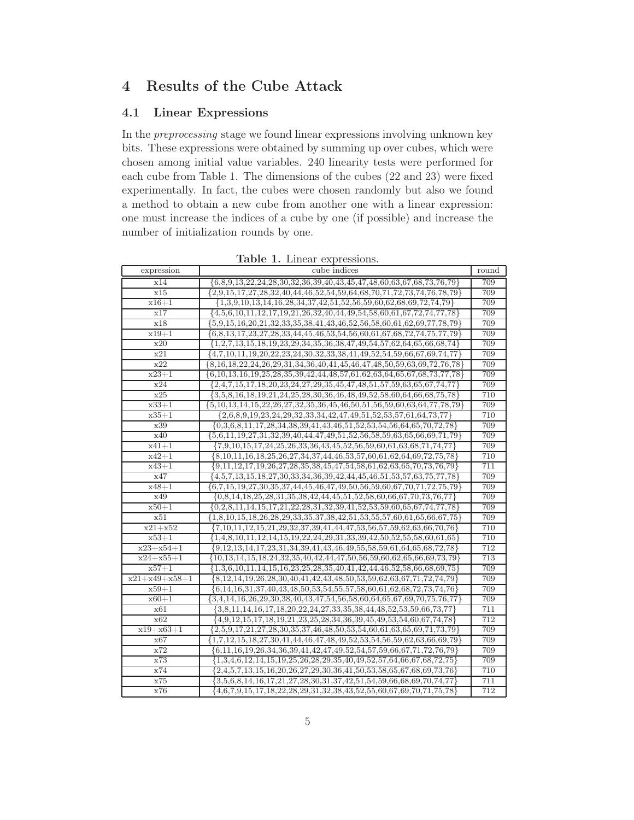# 4 Results of the Cube Attack

### 4.1 Linear Expressions

In the preprocessing stage we found linear expressions involving unknown key bits. These expressions were obtained by summing up over cubes, which were chosen among initial value variables. 240 linearity tests were performed for each cube from Table 1. The dimensions of the cubes (22 and 23) were fixed experimentally. In fact, the cubes were chosen randomly but also we found a method to obtain a new cube from another one with a linear expression: one must increase the indices of a cube by one (if possible) and increase the number of initialization rounds by one.

|                     | <b>rapic 1.</b> Ellical Capressions.                                                            |       |
|---------------------|-------------------------------------------------------------------------------------------------|-------|
| expression          | cube indices                                                                                    | round |
| x14                 | ${6,8,9,13,22,24,28,30,32,36,39,40,43,45,47,48,60,63,67,68,73,76,79}$                           | 709   |
| x15                 | ${2,9,15,17,27,28,32,40,44,46,52,54,59,64,68,70,71,72,73,74,76,78,79}$                          | 709   |
| $x16 + 1$           | ${1,3,9,10,13,14,16,28,34,37,42,51,52,56,59,60,62,68,69,72,74,79}$                              | 709   |
| x17                 | $\{4,5,6,10,11,12,17,19,21,26,32,40,44,49,54,58,60,61,67,72,74,77,78\}$                         | 709   |
| x18                 | $\{5,9,15,16,20,21,32,33,35,38,41,43,46,52,56,58,60,61,62,69,77,78,79\}$                        | 709   |
| $x19 + 1$           | $\{6,8,13,17,23,27,28,33,44,45,46,53,54,56,60,61,67,68,72,74,75,77,79\}$                        | 709   |
| x20                 | ${1,2,7,13,15,18,19,23,29,34,35,36,38,47,49,54,57,62,64,65,66,68,74}$                           | 709   |
| x21                 | $\{4,7,10,11,19,20,22,23,24,30,32,33,38,41,49,52,54,59,66,67,69,74,77\}$                        | 709   |
| x22                 | ${8,16,18,22,24,26,29,31,34,36,40,41,45,46,47,48,50,59,63,69,72,76,78}$                         | 709   |
| $x23+1$             | $\{6, 10, 13, 16, 19, 25, 28, 35, 39, 42, 44, 48, 57, 61, 62, 63, 64, 65, 67, 68, 73, 77, 78\}$ | 709   |
| x24                 | ${2,4,7,15,17,18,20,23,24,27,29,35,45,47,48,51,57,59,63,65,67,74,77}$                           | 709   |
| x25                 | ${3,5,8,16,18,19,21,24,25,28,30,36,46,48,49,52,58,60,64,66,68,75,78}$                           | 710   |
| $x33 + 1$           | $\{5,10,13,14,15,22,26,27,32,35,36,45,46,50,51,56,59,60,63,64,77,78,79\}$                       | 709   |
| $x35 + 1$           | ${2,6,8,9,19,23,24,29,32,33,34,42,47,49,51,52,53,57,61,64,73,77}$                               | 710   |
| x39                 | $\{0,3,6,8,11,17,28,34,38,39,41,43,46,51,52,53,54,56,64,65,70,72,78\}$                          | 709   |
| x40                 | ${5,6,11,19,27,31,32,39,40,44,47,49,51,52,56,58,59,63,65,66,69,71,79}$                          | 709   |
| $x41 + 1$           | $\{7,9,10,15,17,24,\overline{25,26,33,36,43,45,52,56,59,60,61,63,68,71,74,77\}$                 | 709   |
| $\overline{x}$ 42+1 | ${8,10,11,16,18,25,26,27,34,37,44,46,53,57,60,61,62,64,69,72,75,78}$                            | 710   |
| $x43 + 1$           | $\{9,11,12,17,19,26,27,28,35,38,45,47,54,58,61,62,63,65,70,73,76,79\}$                          | 711   |
| x47                 | $\{4,5,7,13,15,18,27,30,33,34,36,39,42,44,45,46,51,53,57,63,75,77,78\}$                         | 709   |
| $x48 + 1$           | $\{6,7,15,19,27,30,35,37,44,45,46,47,49,50,56,59,60,67,70,71,72,75,79\}$                        | 709   |
| x49                 | $\{0,8,14,18,25,28,31,35,38,42,44,45,51,52,58,60,66,67,70,73,76,77\}$                           | 709   |
| $x50 + 1$           | $\{0,2,8,11,14,15,17,21,22,28,31,32,39,41,52,53,59,60,65,67,74,77,78\}$                         | 709   |
| x51                 | ${1,8,10,15,18,26,28,29,33,35,37,38,42,51,53,55,57,60,61,65,66,67,75}$                          | 709   |
| $x21+x52$           | ${7,10,11,12,15,21,29,32,37,39,41,44,47,53,56,57,59,62,63,66,70,76}$                            | 710   |
| $x53 + 1$           | ${1,4,8,10,11,12,14,15,19,22,24,29,31,33,39,42,50,52,55,58,60,61,65}$                           | 710   |
| $x23+x54+1$         | ${9,12,13,14,17,23,31,34,39,41,43,46,49,55,58,59,61,64,65,68,72,78}$                            | 712   |
| $x24 + x55 + 1$     | ${10, 13, 14, 15, 18, 24, 32, 35, 40, 42, 44, 47, 50, 56, 59, 60, 62, 65, 66, 69, 73, 79}$      | 713   |
| $x57 + 1$           | ${1,3,6,10,11,14,15,16,23,25,28,35,40,41,42,44,46,52,58,66,68,69,75}$                           | 709   |
| $x21+x49+x58+1$     | ${8,12,14,19,26,28,30,40,41,42,43,48,50,53,59,62,63,67,71,72,74,79}$                            | 709   |
| $x59+1$             | $\{6, 14, 16, 31, 37, 40, 43, 48, 50, 53, 54, 55, 57, 58, 60, 61, 62, 68, 72, 73, 74, 76\}$     | 709   |
| $x60 + 1$           | ${3,4,14,16,26,29,30,38,40,43,47,54,56,58,60,64,65,67,69,70,75,76,77}$                          | 709   |
| x61                 | ${3,8,11,14,16,17,18,20,22,24,27,33,35,38,44,48,52,53,59,66,73,77}$                             | 711   |
| x62                 | ${4,9,12,15,17,18,19,21,23,25,28,34,36,39,45,49,53,54,60,67,74,78}$                             | 712   |
| $x19+x63+1$         | ${2,5,9,17,21,27,28,30,35,37,46,48,50,53,54,60,61,63,65,69,71,73,79}$                           | 709   |
| x67                 | ${1,7,12,15,18,27,30,41,44,46,47,48,49,52,53,54,56,59,62,63,66,69,79}$                          | 709   |
| x72                 | $\{6, 11, 16, 19, 26, 34, 36, 39, 41, 42, 47, 49, 52, 54, 57, 59, 66, 67, 71, 72, 76, 79\}$     | 709   |
| x73                 | ${1,3,4,6,12,14,15,19,25,26,28,29,35,40,49,52,57,64,66,67,68,72,75}$                            | 709   |
| x74                 | ${2,4,5,7,13,15,16,20,26,27,29,30,36,41,50,53,58,65,67,68,69,73,76}$                            | 710   |
| x75                 | ${3,5,6,8,14,16,17,21,27,28,30,31,37,42,51,54,59,66,68,69,70,74,77}$                            | 711   |
| x76                 | ${4,6,7,9,15,17,18,22,28,29,31,32,38,43,52,55,60,67,69,70,71,75,78}$                            | 712   |

Table 1. Linear expressions.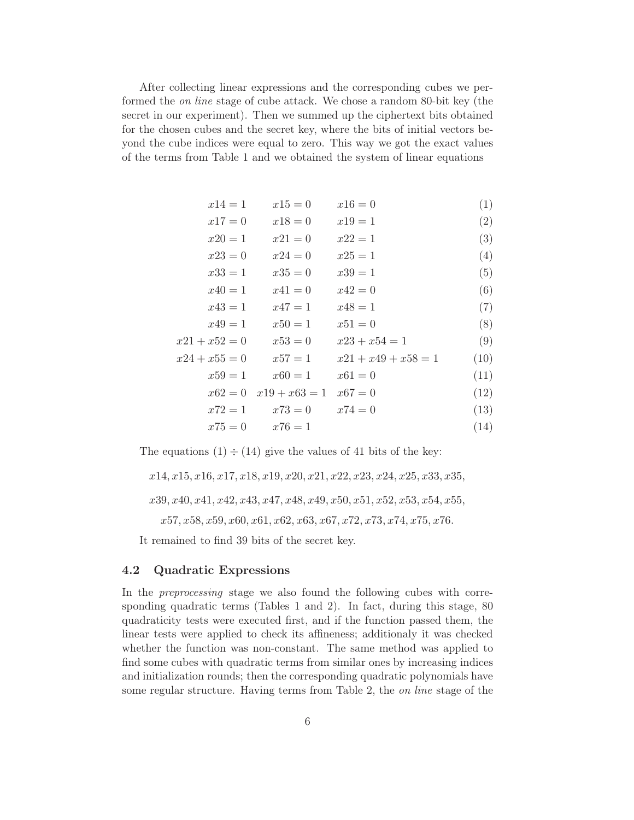After collecting linear expressions and the corresponding cubes we performed the on line stage of cube attack. We chose a random 80-bit key (the secret in our experiment). Then we summed up the ciphertext bits obtained for the chosen cubes and the secret key, where the bits of initial vectors beyond the cube indices were equal to zero. This way we got the exact values of the terms from Table 1 and we obtained the system of linear equations

| $x14=1$         | $x15=0$                             | $x16=0$               | (1)  |
|-----------------|-------------------------------------|-----------------------|------|
| $x17 = 0$       | $x18=0$                             | $x19 = 1$             | (2)  |
| $x20 = 1$       | $x21 = 0$                           | $x22 = 1$             | (3)  |
| $x23=0$         | $x24=0$                             | $x25 = 1$             | (4)  |
| $x33=1$         | $x35 = 0$                           | $x39 = 1$             | (5)  |
| $x40 = 1$       | $x41=0$                             | $x42 = 0$             | (6)  |
| $x43=1$         | $x47 = 1$                           | $x48 = 1$             | (7)  |
| $x49=1$         | $x50 = 1$                           | $x51 = 0$             | (8)  |
| $x21 + x52 = 0$ | $x53 = 0$                           | $x23 + x54 = 1$       | (9)  |
| $x24 + x55 = 0$ | $x57 = 1$                           | $x21 + x49 + x58 = 1$ | (10) |
| $x59=1$         | $x60 = 1$                           | $x61 = 0$             | (11) |
|                 | $x62 = 0$ $x19 + x63 = 1$ $x67 = 0$ |                       | (12) |
| $x72 = 1$       | $x73=0$                             | $x74 = 0$             | (13) |
|                 | $x75 = 0$ $x76 = 1$                 |                       | (14) |

The equations  $(1) \div (14)$  give the values of 41 bits of the key:

 $x14, x15, x16, x17, x18, x19, x20, x21, x22, x23, x24, x25, x33, x35,$  $x39, x40, x41, x42, x43, x47, x48, x49, x50, x51, x52, x53, x54, x55,$  $x57, x58, x59, x60, x61, x62, x63, x67, x72, x73, x74, x75, x76.$ 

It remained to find 39 bits of the secret key.

### 4.2 Quadratic Expressions

In the preprocessing stage we also found the following cubes with corresponding quadratic terms (Tables 1 and 2). In fact, during this stage, 80 quadraticity tests were executed first, and if the function passed them, the linear tests were applied to check its affineness; additionaly it was checked whether the function was non-constant. The same method was applied to find some cubes with quadratic terms from similar ones by increasing indices and initialization rounds; then the corresponding quadratic polynomials have some regular structure. Having terms from Table 2, the on line stage of the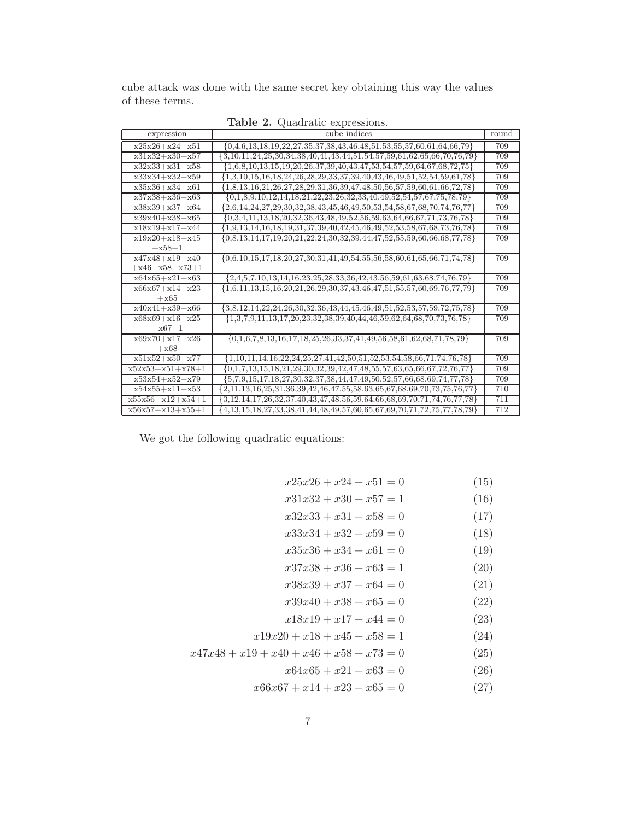cube attack was done with the same secret key obtaining this way the values of these terms.

| expression           | cube indices                                                                                    | round |
|----------------------|-------------------------------------------------------------------------------------------------|-------|
| $x25x26+x24+x51$     | $\{0,4,6,13,18,19,22,27,35,37,38,43,46,48,51,53,55,57,60,61,64,66,79\}$                         | 709   |
| $x31x32+x30+x57$     | $\{3,10,11,24,25,30,34,38,40,41,43,44,51,54,57,59,61,62,65,66,70,76,79\}$                       | 709   |
| $x32x33+x31+x58$     | $\{1,6,8,10,13,15,19,20,26,37,39,40,43,47,53,54,57,59,64,67,68,72,75\}$                         | 709   |
| $x33x34+x32+x59$     | $\{1,3,10,15,16,18,24,26,28,29,33,37,39,40,43,46,49,51,52,54,59,61,78\}$                        | 709   |
| $x35x36+x34+x61$     | $\{1,8,13,16,21,26,27,28,29,31,36,39,47,48,50,56,57,59,60,61,66,72,78\}$                        | 709   |
| $x37x38+x36+x63$     | $\{0,1,8,9,10,12,14,18,21,22,23,26,32,33,40,49,52,54,57,67,75,78,79\}$                          | 709   |
| $x38x39+x37+x64$     | $\{2,6,14,24,27,29,30,32,38,43,45,46,49,50,53,54,58,67,68,70,74,76,77\}$                        | 709   |
| $x39x40+x38+x65$     | $\{0,3,4,11,13,18,20,32,36,43,48,49,52,56,59,63,64,66,67,71,73,76,78\}$                         | 709   |
| $x18x19+x17+x44$     | $\{1,9,13,14,16,18,19,31,37,39,40,42,45,46,49,52,53,58,67,68,73,76,78\}$                        | 709   |
| $x19x20+x18+x45$     | $\{0,8,13,14,17,19,20,21,22,24,30,32,39,44,47,52,55,59,60,66,68,77,78\}$                        | 709   |
| $+x58+1$             |                                                                                                 |       |
| $x47x48 + x19 + x40$ | $\{0,6,10,15,17,18,20,27,30,31,41,49,54,55,56,58,60,61,65,66,71,74,78\}$                        | 709   |
| $+x46+x58+x73+1$     |                                                                                                 |       |
| $x64x65+x21+x63$     | $\{2,4,5,7,10,13,14,16,23,25,28,33,36,42,43,56,59,61,63,68,74,76,79\}$                          | 709   |
| $x66x67+x14+x23$     | $\{1,6,11,13,15,16,20,21,26,29,30,37,43,46,47,51,55,57,60,69,76,77,79\}$                        | 709   |
| $+x65$               |                                                                                                 |       |
| $x40x41+x39+x66$     | $\{3,8,12,14,22,24,26,30,32,36,43,44,45,46,49,51,52,53,57,59,72,75,78\}$                        | 709   |
| $x68x69+x16+x25$     | ${1,3,7,9,11,13,17,20,23,32,38,39,40,44,46,59,62,64,68,70,73,76,78}$                            | 709   |
| $+x67+1$             |                                                                                                 |       |
| $x69x70+x17+x26$     | $\{0,1,6,7,8,13,16,17,18,25,26,33,37,41,49,56,58,61,62,68,71,78,79\}$                           | 709   |
| $+x68$               |                                                                                                 |       |
| $x51x52+x50+x77$     | $\{1,10,11,14,16,22,24,25,27,41,42,50,51,52,53,54,58,66,71,74,76,78\}$                          | 709   |
| $x52x53+x51+x78+1$   | $\{0,1,7,13,15,18,21,29,30,32,39,42,47,48,55,57,63,65,66,67,72,76,77\}$                         | 709   |
| $x53x54+x52+x79$     | $\{5,7,9,15,17,18,27,30,32,37,38,44,47,49,50,52,57,66,68,69,74,77,78\}$                         | 709   |
| $x54x55+x11+x53$     | $\{2,11,13,16,25,31,36,39,42,46,47,55,58,63,65,67,68,69,70,73,75,76,77\}$                       | 710   |
| $x55x56+x12+x54+1$   | $\{3, 12, 14, 17, 26, 32, 37, 40, 43, 47, 48, 56, 59, 64, 66, 68, 69, 70, 71, 74, 76, 77, 78\}$ | 711   |
| $x56x57+x13+x55+1$   | $\{4, 13, 15, 18, 27, 33, 38, 41, 44, 48, 49, 57, 60, 65, 67, 69, 70, 71, 72, 75, 77, 78, 79\}$ | 712   |

Table 2. Quadratic expressions.

We got the following quadratic equations:

| $x25x26 + x24 + x51 = 0$                   | (15) |
|--------------------------------------------|------|
| $x31x32 + x30 + x57 = 1$                   | (16) |
| $x32x33 + x31 + x58 = 0$                   | (17) |
| $x33x34 + x32 + x59 = 0$                   | (18) |
| $x35x36 + x34 + x61 = 0$                   | (19) |
| $x37x38 + x36 + x63 = 1$                   | (20) |
| $x38x39 + x37 + x64 = 0$                   | (21) |
| $x39x40 + x38 + x65 = 0$                   | (22) |
| $x18x19 + x17 + x44 = 0$                   | (23) |
| $x19x20 + x18 + x45 + x58 = 1$             | (24) |
| $x47x48 + x19 + x40 + x46 + x58 + x73 = 0$ | (25) |
| $x64x65 + x21 + x63 = 0$                   | (26) |
| $x66x67 + x14 + x23 + x65 = 0$             | (27) |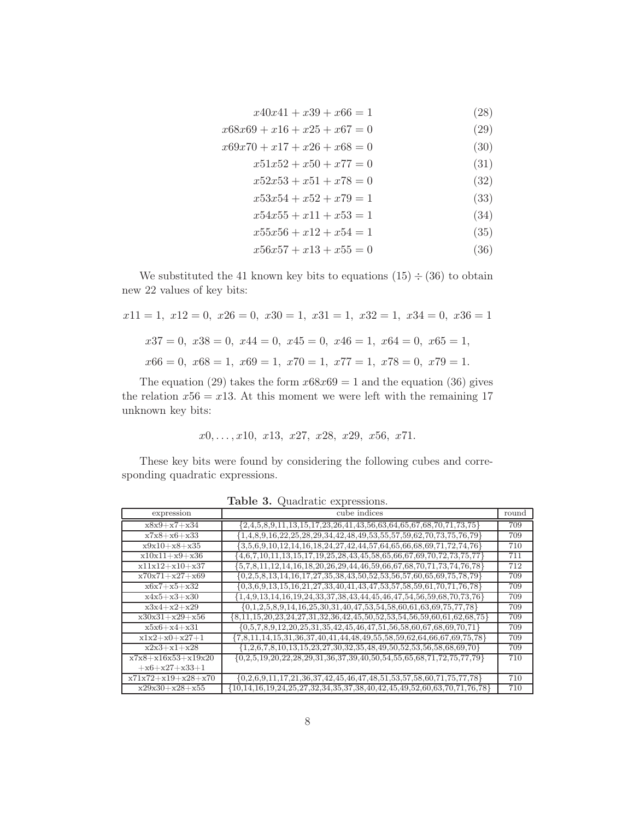- $x40x41 + x39 + x66 = 1$  (28)
- $x68x69 + x16 + x25 + x67 = 0$  (29)
- $x69x70 + x17 + x26 + x68 = 0$  (30)
	- $x51x52 + x50 + x77 = 0$  (31)
		- $x52x53 + x51 + x78 = 0$  (32)
		- $x53x54 + x52 + x79 = 1$  (33)
		- $x54x55 + x11 + x53 = 1$  (34)
		- $x55x56 + x12 + x54 = 1$  (35)
		- $x56x57 + x13 + x55 = 0$  (36)

We substituted the 41 known key bits to equations  $(15) \div (36)$  to obtain new 22 values of key bits:

$$
x11 = 1, x12 = 0, x26 = 0, x30 = 1, x31 = 1, x32 = 1, x34 = 0, x36 = 1
$$
  

$$
x37 = 0, x38 = 0, x44 = 0, x45 = 0, x46 = 1, x64 = 0, x65 = 1,
$$
  

$$
x66 = 0, x68 = 1, x69 = 1, x70 = 1, x77 = 1, x78 = 0, x79 = 1.
$$

The equation (29) takes the form  $x68x69 = 1$  and the equation (36) gives the relation  $x56 = x13$ . At this moment we were left with the remaining 17 unknown key bits:

$$
x0, \ldots, x10, x13, x27, x28, x29, x56, x71.
$$

These key bits were found by considering the following cubes and corresponding quadratic expressions.

| expression           | cube indices                                                                                     | round |
|----------------------|--------------------------------------------------------------------------------------------------|-------|
|                      |                                                                                                  |       |
| $x8x9+x7+x34$        | ${2,4,5,8,9,11,13,15,17,23,26,41,43,56,63,64,65,67,68,70,71,73,75}$                              | 709   |
| $x7x8 + x6 + x33$    | ${1,4,8,9,16,22,25,28,29,34,42,48,49,53,55,57,59,62,70,73,75,76,79}$                             | 709   |
| $x9x10+x8+x35$       | ${3,5,6,9,10,12,14,16,18,24,27,42,44,57,64,65,66,68,69,71,72,74,76}$                             | 710   |
| $x10x11+x9+x36$      | ${4,6,7,10,11,13,15,17,19,25,28,43,45,58,65,66,67,69,70,72,73,75,77}$                            | 711   |
| $x11x12+x10+x37$     | ${5,7,8,11,12,14,16,18,20,26,29,44,46,59,66,67,68,70,71,73,74,76,78}$                            | 712   |
| $x70x71+x27+x69$     | $\{0, 2, 5, 8, 13, 14, 16, 17, 27, 35, 38, 43, 50, 52, 53, 56, 57, 60, 65, 69, 75, 78, 79\}$     | 709   |
| $x6x7+x5+x32$        | ${0,3,6,9,13,15,16,21,27,33,40,41,43,47,53,57,58,59,61,70,71,76,78}$                             | 709   |
| $x4x5+x3+x30$        | ${1,4,9,13,14,16,19,24,33,37,38,43,44,45,46,47,54,56,59,68,70,73,76}$                            | 709   |
| $x3x4+x2+x29$        | $\{0,1,2,5,8,9,14,16,25,30,31,40,47,53,54,58,60,61,63,69,75,77,78\}$                             | 709   |
| $x30x31+x29+x56$     | ${8,11,15,20,23,24,27,31,32,36,42,45,50,52,53,54,56,59,60,61,62,68,75}$                          | 709   |
| $x5x6+x4+x31$        | ${0.5,7,8,9,12,20,25,31,35,42,45,46,47,51,56,58,60,67,68,69,70,71}$                              | 709   |
| $x1x2+x0+x27+1$      | ${7,8,11,14,15,31,36,37,40,41,44,48,49,55,58,59,62,64,66,67,69,75,78}$                           | 709   |
| $x2x3+x1+x28$        | ${1,2,6,7,8,10,13,15,23,27,30,32,35,48,49,50,52,53,56,58,68,69,70}$                              | 709   |
| $x7x8+x16x53+x19x20$ | $\{0,2,5,19,20,22,28,29,31,36,37,39,40,50,54,55,65,68,71,72,75,77,79\}$                          | 710   |
| $+x6+x27+x33+1$      |                                                                                                  |       |
| $x71x72+x19+x28+x70$ | $\{0, 2, 6, 9, 11, 17, 21, 36, 37, 42, 45, 46, 47, 48, 51, 53, 57, 58, 60, 71, 75, 77, 78\}$     | 710   |
| $x29x30+x28+x55$     | $\{10, 14, 16, 19, 24, 25, 27, 32, 34, 35, 37, 38, 40, 42, 45, 49, 52, 60, 63, 70, 71, 76, 78\}$ | 710   |

Table 3. Quadratic expressions.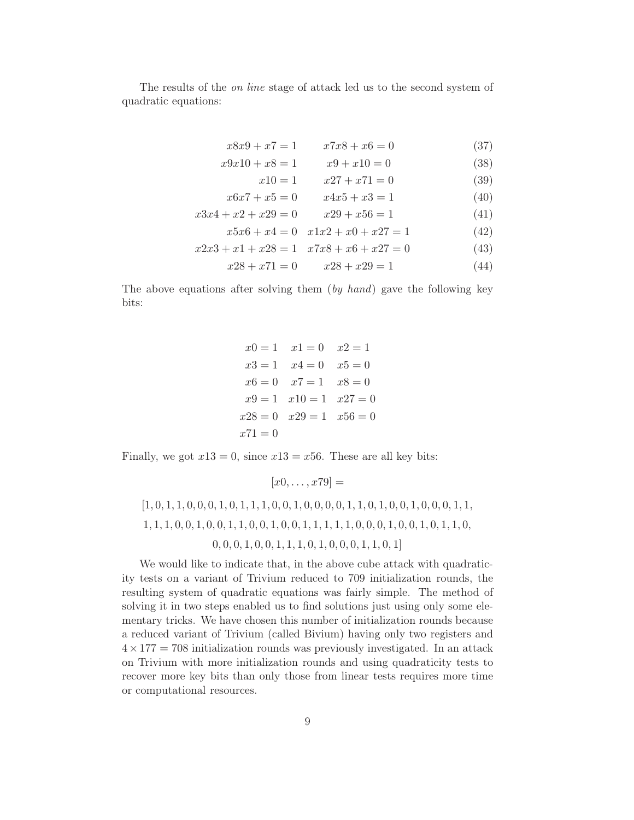The results of the on line stage of attack led us to the second system of quadratic equations:

$$
x8x9 + x7 = 1 \qquad x7x8 + x6 = 0 \tag{37}
$$

$$
x9x10 + x8 = 1 \qquad x9 + x10 = 0 \tag{38}
$$

$$
x10 = 1 \qquad x27 + x71 = 0 \tag{39}
$$

$$
x6x7 + x5 = 0 \qquad x4x5 + x3 = 1 \tag{40}
$$

$$
x3x4 + x2 + x29 = 0 \qquad x29 + x56 = 1 \tag{41}
$$

$$
x5x6 + x4 = 0 \quad x1x2 + x0 + x27 = 1 \tag{42}
$$

$$
x2x3 + x1 + x28 = 1 \quad x7x8 + x6 + x27 = 0 \tag{43}
$$

$$
x28 + x71 = 0 \qquad x28 + x29 = 1 \tag{44}
$$

The above equations after solving them (by hand) gave the following key bits:

|           | $x0 = 1$ $x1 = 0$ $x2 = 1$    |  |
|-----------|-------------------------------|--|
|           | $x3 = 1$ $x4 = 0$ $x5 = 0$    |  |
|           | $x6 = 0$ $x7 = 1$ $x8 = 0$    |  |
|           | $x9 = 1$ $x10 = 1$ $x27 = 0$  |  |
|           | $x28 = 0$ $x29 = 1$ $x56 = 0$ |  |
| $x71 = 0$ |                               |  |

Finally, we got  $x13 = 0$ , since  $x13 = x56$ . These are all key bits:

[1, 0, 1, 1, 0, 0, 0, 1, 0, 1, 1, 1, 0, 0, 1, 0, 0, 0, 0, 1, 1, 0, 1, 0, 0, 1, 0, 0, 0, 1, 1, 1, 1, 1, 0, 0, 1, 0, 0, 1, 1, 0, 0, 1, 0, 0, 1, 1, 1, 1, 1, 0, 0, 0, 1, 0, 0, 1, 0, 1, 1, 0, 0, 0, 0, 1, 0, 0, 1, 1, 1, 0, 1, 0, 0, 0, 1, 1, 0, 1]

 $[x0, \ldots, x79] =$ 

We would like to indicate that, in the above cube attack with quadraticity tests on a variant of Trivium reduced to 709 initialization rounds, the resulting system of quadratic equations was fairly simple. The method of solving it in two steps enabled us to find solutions just using only some elementary tricks. We have chosen this number of initialization rounds because a reduced variant of Trivium (called Bivium) having only two registers and  $4 \times 177 = 708$  initialization rounds was previously investigated. In an attack on Trivium with more initialization rounds and using quadraticity tests to recover more key bits than only those from linear tests requires more time or computational resources.